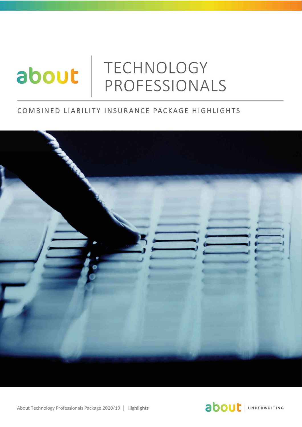# TECHNOLOGY about PROFESSIONALS

### COMBINED LIABILITY INSURANCE PACKAGE HIGHLIGHTS





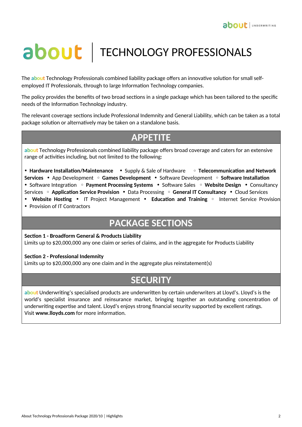# about | TECHNOLOGY PROFESSIONALS

The **about** Technology Professionals combined liability package offers an innovative solution for small selfemployed IT Professionals, through to large Information Technology companies.

The policy provides the benefits of two broad sections in a single package which has been tailored to the specific needs of the Information Technology industry.

The relevant coverage sections include Professional Indemnity and General Liability, which can be taken as a total package solution or alternatively may be taken on a standalone basis.

## **APPETITE**

**about** Technology Professionals combined liability package offers broad coverage and caters for an extensive range of activities including, but not limited to the following:

• **Hardware Installation/Maintenance** • Supply & Sale of Hardware • **Telecommunication and Network Services** • App Development • **Games Development** • Software Development • **Software Installation** • Software Integration • **Payment Processing Systems** • Software Sales • **Website Design** • Consultancy Services • **Application Service Provision** • Data Processing • **General IT Consultancy** • Cloud Services • **Website Hosting** • IT Project Management • **Education and Training** •Internet Service Provision

• Provision of IT Contractors

# **PACKAGE SECTIONS**

**Section 1 - Broadform General & Products Liability**

Limits up to \$20,000,000 any one claim or series of claims, and in the aggregate for Products Liability

#### **Section 2 - Professional Indemnity**

Limits up to \$20,000,000 any one claim and in the aggregate plus reinstatement(s)

## **SECURITY**

**about** Underwriting's specialised products are underwritten by certain underwriters at Lloyd's. Lloyd's is the world's specialist insurance and reinsurance market, bringing together an outstanding concentration of underwriting expertise and talent. Lloyd's enjoys strong financial security supported by excellent ratings. Visit **www.lloyds.com** for more information.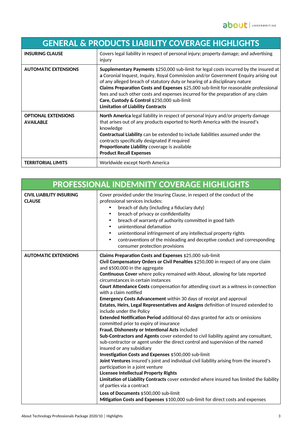| <b>GENERAL &amp; PRODUCTS LIABILITY COVERAGE HIGHLIGHTS</b> |                                                                                                                                                                                                                                                                                                                                                                                                                                                                                                                                           |
|-------------------------------------------------------------|-------------------------------------------------------------------------------------------------------------------------------------------------------------------------------------------------------------------------------------------------------------------------------------------------------------------------------------------------------------------------------------------------------------------------------------------------------------------------------------------------------------------------------------------|
| <b>INSURING CLAUSE</b>                                      | Covers legal liability in respect of personal injury; property damage; and advertising<br>injury                                                                                                                                                                                                                                                                                                                                                                                                                                          |
| <b>AUTOMATIC EXTENSIONS</b>                                 | <b>Supplementary Payments</b> \$250,000 sub-limit for legal costs incurred by the insured at<br>a Coronial Inquest, Inquiry, Royal Commission and/or Government Enquiry arising out<br>of any alleged breach of statutory duty or hearing of a disciplinary nature<br>Claims Preparation Costs and Expenses \$25,000 sub-limit for reasonable professional<br>fees and such other costs and expenses incurred for the preparation of any claim<br>Care, Custody & Control \$250,000 sub-limit<br><b>Limitation of Liability Contracts</b> |
| <b>OPTIONAL EXTENSIONS</b><br><b>AVAILABLE</b>              | North America legal liability in respect of personal injury and/or property damage<br>that arises out of any products exported to North America with the insured's<br>knowledge<br>Contractual Liability can be extended to include liabilities assumed under the<br>contracts specifically designated if required<br>Proportionate Liability coverage is available<br><b>Product Recall Expenses</b>                                                                                                                                     |
| <b>TERRITORIAL LIMITS</b>                                   | Worldwide except North America                                                                                                                                                                                                                                                                                                                                                                                                                                                                                                            |

| <b>PROFESSIONAL INDEMNITY COVERAGE HIGHLIGHTS</b> |                                                                                                                                                                                                                                                                                                                                                                                                                                                                                                                                                                                                                                                                                                                                                                                                                                                                                                                                                                                                                                                                                                                                                                                                                                                                                                                                                                                                                                                                                                 |  |
|---------------------------------------------------|-------------------------------------------------------------------------------------------------------------------------------------------------------------------------------------------------------------------------------------------------------------------------------------------------------------------------------------------------------------------------------------------------------------------------------------------------------------------------------------------------------------------------------------------------------------------------------------------------------------------------------------------------------------------------------------------------------------------------------------------------------------------------------------------------------------------------------------------------------------------------------------------------------------------------------------------------------------------------------------------------------------------------------------------------------------------------------------------------------------------------------------------------------------------------------------------------------------------------------------------------------------------------------------------------------------------------------------------------------------------------------------------------------------------------------------------------------------------------------------------------|--|
| <b>CIVIL LIABILITY INSURING</b><br><b>CLAUSE</b>  | Cover provided under the Insuring Clause, in respect of the conduct of the<br>professional services includes:<br>breach of duty (including a fiduciary duty)<br>breach of privacy or confidentiality<br>$\bullet$<br>breach of warranty of authority committed in good faith<br>$\bullet$<br>unintentional defamation<br>$\bullet$<br>unintentional infringement of any intellectual property rights<br>$\bullet$<br>contraventions of the misleading and deceptive conduct and corresponding<br>$\bullet$<br>consumer protection provisions                                                                                                                                                                                                                                                                                                                                                                                                                                                                                                                                                                                                                                                                                                                                                                                                                                                                                                                                                    |  |
| <b>AUTOMATIC EXTENSIONS</b>                       | Claims Preparation Costs and Expenses \$25,000 sub-limit<br>Civil Compensatory Orders or Civil Penalties \$250,000 in respect of any one claim<br>and \$500,000 in the aggregate<br>Continuous Cover where policy remained with About, allowing for late reported<br>circumstances in certain instances<br>Court Attendance Costs compensation for attending court as a witness in connection<br>with a claim notified<br>Emergency Costs Advancement within 30 days of receipt and approval<br>Estates, Heirs, Legal Representatives and Assigns definition of Insured extended to<br>include under the Policy<br>Extended Notification Period additional 60 days granted for acts or omissions<br>committed prior to expiry of insurance<br>Fraud, Dishonesty or Intentional Acts included<br>Sub-Contractors and Agents cover extended to civil liability against any consultant,<br>sub-contractor or agent under the direct control and supervision of the named<br>insured or any subsidiary<br>Investigation Costs and Expenses \$500,000 sub-limit<br>Joint Ventures insured's joint and individual civil liability arising from the insured's<br>participation in a joint venture<br><b>Licensee Intellectual Property Rights</b><br>Limitation of Liability Contracts cover extended where insured has limited the liability<br>of parties via a contract<br>Loss of Documents \$500,000 sub-limit<br>Mitigation Costs and Expenses \$100,000 sub-limit for direct costs and expenses |  |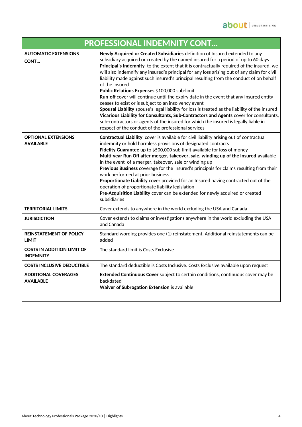| <b>PROFESSIONAL INDEMNITY CONT</b>                    |                                                                                                                                                                                                                                                                                                                                                                                                                                                                                                                                                                                                                                                                                                                                                                                                                                                                                                                                                                                                                        |  |
|-------------------------------------------------------|------------------------------------------------------------------------------------------------------------------------------------------------------------------------------------------------------------------------------------------------------------------------------------------------------------------------------------------------------------------------------------------------------------------------------------------------------------------------------------------------------------------------------------------------------------------------------------------------------------------------------------------------------------------------------------------------------------------------------------------------------------------------------------------------------------------------------------------------------------------------------------------------------------------------------------------------------------------------------------------------------------------------|--|
| <b>AUTOMATIC EXTENSIONS</b><br>CONT                   | Newly Acquired or Created Subsidiaries definition of Insured extended to any<br>subsidiary acquired or created by the named insured for a period of up to 60 days<br>Principal's Indemnity to the extent that it is contractually required of the insured, we<br>will also indemnify any insured's principal for any loss arising out of any claim for civil<br>liability made against such insured's principal resulting from the conduct of on behalf<br>of the insured<br>Public Relations Expenses \$100,000 sub-limit<br>Run-off cover will continue until the expiry date in the event that any insured entity<br>ceases to exist or is subject to an insolvency event<br>Spousal Liability spouse's legal liability for loss is treated as the liability of the insured<br>Vicarious Liability for Consultants, Sub-Contractors and Agents cover for consultants,<br>sub-contractors or agents of the insured for which the insured is legally liable in<br>respect of the conduct of the professional services |  |
| <b>OPTIONAL EXTENSIONS</b><br><b>AVAILABLE</b>        | Contractual Liability cover is available for civil liability arising out of contractual<br>indemnity or hold harmless provisions of designated contracts<br>Fidelity Guarantee up to \$500,000 sub-limit available for loss of money<br>Multi-year Run Off after merger, takeover, sale, winding up of the Insured available<br>in the event of a merger, takeover, sale or winding up<br>Previous Business coverage for the Insured's principals for claims resulting from their<br>work performed at prior business<br>Proportionate Liability cover provided for an Insured having contracted out of the<br>operation of proportionate liability legislation<br>Pre-Acquisition Liability cover can be extended for newly acquired or created<br>subsidiaries                                                                                                                                                                                                                                                       |  |
| <b>TERRITORIAL LIMITS</b>                             | Cover extends to anywhere in the world excluding the USA and Canada                                                                                                                                                                                                                                                                                                                                                                                                                                                                                                                                                                                                                                                                                                                                                                                                                                                                                                                                                    |  |
| <b>JURISDICTION</b>                                   | Cover extends to claims or investigations anywhere in the world excluding the USA<br>and Canada                                                                                                                                                                                                                                                                                                                                                                                                                                                                                                                                                                                                                                                                                                                                                                                                                                                                                                                        |  |
| <b>REINSTATEMENT OF POLICY</b><br><b>LIMIT</b>        | Standard wording provides one (1) reinstatement. Additional reinstatements can be<br>added                                                                                                                                                                                                                                                                                                                                                                                                                                                                                                                                                                                                                                                                                                                                                                                                                                                                                                                             |  |
| <b>COSTS IN ADDITION LIMIT OF</b><br><b>INDEMNITY</b> | The standard limit is Costs Exclusive                                                                                                                                                                                                                                                                                                                                                                                                                                                                                                                                                                                                                                                                                                                                                                                                                                                                                                                                                                                  |  |
| <b>COSTS INCLUSIVE DEDUCTIBLE</b>                     | The standard deductible is Costs Inclusive. Costs Exclusive available upon request                                                                                                                                                                                                                                                                                                                                                                                                                                                                                                                                                                                                                                                                                                                                                                                                                                                                                                                                     |  |
| <b>ADDITIONAL COVERAGES</b><br><b>AVAILABLE</b>       | Extended Continuous Cover subject to certain conditions, continuous cover may be<br>backdated<br>Waiver of Subrogation Extension is available                                                                                                                                                                                                                                                                                                                                                                                                                                                                                                                                                                                                                                                                                                                                                                                                                                                                          |  |